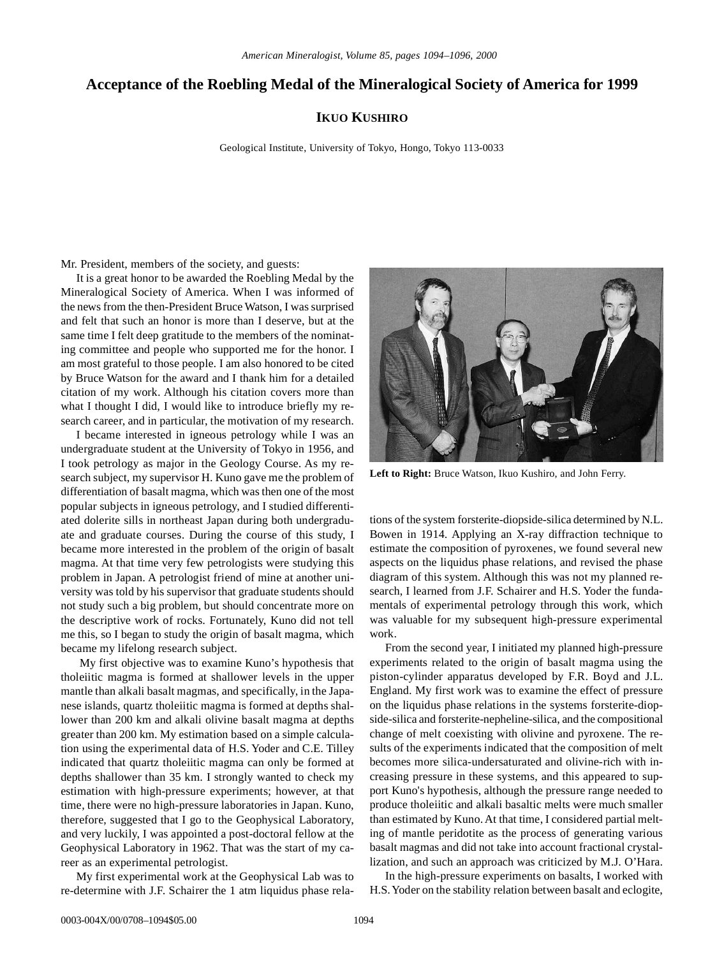## **Acceptance of the Roebling Medal of the Mineralogical Society of America for 1999**

## **IKUO KUSHIRO**

Geological Institute, University of Tokyo, Hongo, Tokyo 113-0033

Mr. President, members of the society, and guests:

It is a great honor to be awarded the Roebling Medal by the Mineralogical Society of America. When I was informed of the news from the then-President Bruce Watson, I was surprised and felt that such an honor is more than I deserve, but at the same time I felt deep gratitude to the members of the nominating committee and people who supported me for the honor. I am most grateful to those people. I am also honored to be cited by Bruce Watson for the award and I thank him for a detailed citation of my work. Although his citation covers more than what I thought I did, I would like to introduce briefly my research career, and in particular, the motivation of my research.

I became interested in igneous petrology while I was an undergraduate student at the University of Tokyo in 1956, and I took petrology as major in the Geology Course. As my research subject, my supervisor H. Kuno gave me the problem of differentiation of basalt magma, which was then one of the most popular subjects in igneous petrology, and I studied differentiated dolerite sills in northeast Japan during both undergraduate and graduate courses. During the course of this study, I became more interested in the problem of the origin of basalt magma. At that time very few petrologists were studying this problem in Japan. A petrologist friend of mine at another university was told by his supervisor that graduate students should not study such a big problem, but should concentrate more on the descriptive work of rocks. Fortunately, Kuno did not tell me this, so I began to study the origin of basalt magma, which became my lifelong research subject.

 My first objective was to examine Kuno's hypothesis that tholeiitic magma is formed at shallower levels in the upper mantle than alkali basalt magmas, and specifically, in the Japanese islands, quartz tholeiitic magma is formed at depths shallower than 200 km and alkali olivine basalt magma at depths greater than 200 km. My estimation based on a simple calculation using the experimental data of H.S. Yoder and C.E. Tilley indicated that quartz tholeiitic magma can only be formed at depths shallower than 35 km. I strongly wanted to check my estimation with high-pressure experiments; however, at that time, there were no high-pressure laboratories in Japan. Kuno, therefore, suggested that I go to the Geophysical Laboratory, and very luckily, I was appointed a post-doctoral fellow at the Geophysical Laboratory in 1962. That was the start of my career as an experimental petrologist.

My first experimental work at the Geophysical Lab was to re-determine with J.F. Schairer the 1 atm liquidus phase rela-



**Left to Right:** Bruce Watson, Ikuo Kushiro, and John Ferry.

tions of the system forsterite-diopside-silica determined by N.L. Bowen in 1914. Applying an X-ray diffraction technique to estimate the composition of pyroxenes, we found several new aspects on the liquidus phase relations, and revised the phase diagram of this system. Although this was not my planned research, I learned from J.F. Schairer and H.S. Yoder the fundamentals of experimental petrology through this work, which was valuable for my subsequent high-pressure experimental work.

From the second year, I initiated my planned high-pressure experiments related to the origin of basalt magma using the piston-cylinder apparatus developed by F.R. Boyd and J.L. England. My first work was to examine the effect of pressure on the liquidus phase relations in the systems forsterite-diopside-silica and forsterite-nepheline-silica, and the compositional change of melt coexisting with olivine and pyroxene. The results of the experiments indicated that the composition of melt becomes more silica-undersaturated and olivine-rich with increasing pressure in these systems, and this appeared to support Kuno's hypothesis, although the pressure range needed to produce tholeiitic and alkali basaltic melts were much smaller than estimated by Kuno. At that time, I considered partial melting of mantle peridotite as the process of generating various basalt magmas and did not take into account fractional crystallization, and such an approach was criticized by M.J. O'Hara.

In the high-pressure experiments on basalts, I worked with H.S. Yoder on the stability relation between basalt and eclogite,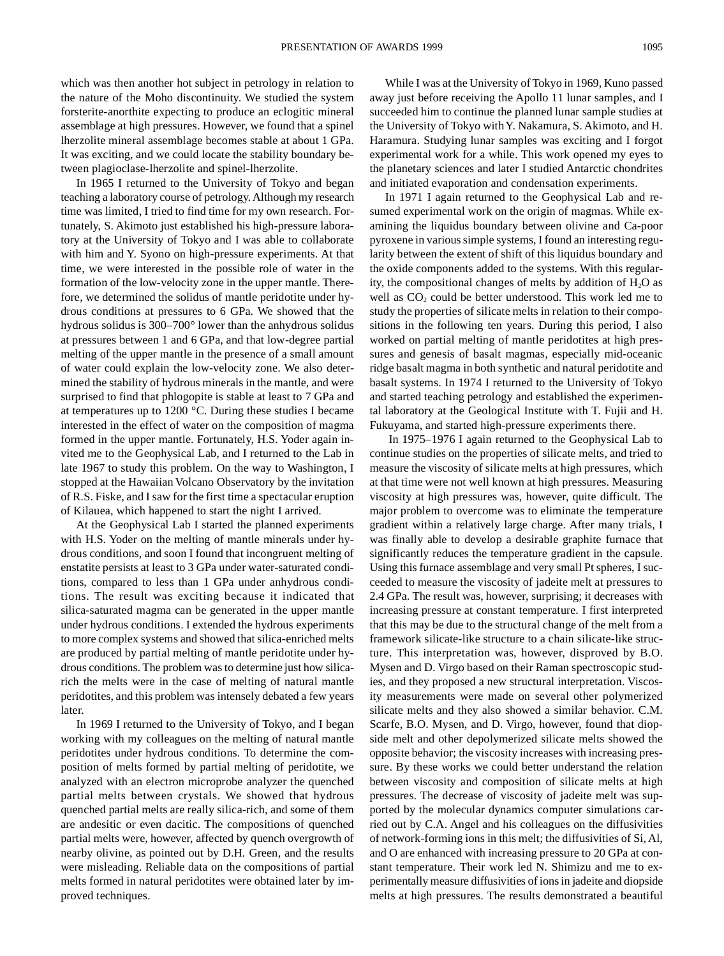which was then another hot subject in petrology in relation to the nature of the Moho discontinuity. We studied the system forsterite-anorthite expecting to produce an eclogitic mineral assemblage at high pressures. However, we found that a spinel lherzolite mineral assemblage becomes stable at about 1 GPa. It was exciting, and we could locate the stability boundary between plagioclase-lherzolite and spinel-lherzolite.

In 1965 I returned to the University of Tokyo and began teaching a laboratory course of petrology. Although my research time was limited, I tried to find time for my own research. Fortunately, S. Akimoto just established his high-pressure laboratory at the University of Tokyo and I was able to collaborate with him and Y. Syono on high-pressure experiments. At that time, we were interested in the possible role of water in the formation of the low-velocity zone in the upper mantle. Therefore, we determined the solidus of mantle peridotite under hydrous conditions at pressures to 6 GPa. We showed that the hydrous solidus is 300–700° lower than the anhydrous solidus at pressures between 1 and 6 GPa, and that low-degree partial melting of the upper mantle in the presence of a small amount of water could explain the low-velocity zone. We also determined the stability of hydrous minerals in the mantle, and were surprised to find that phlogopite is stable at least to 7 GPa and at temperatures up to 1200 °C. During these studies I became interested in the effect of water on the composition of magma formed in the upper mantle. Fortunately, H.S. Yoder again invited me to the Geophysical Lab, and I returned to the Lab in late 1967 to study this problem. On the way to Washington, I stopped at the Hawaiian Volcano Observatory by the invitation of R.S. Fiske, and I saw for the first time a spectacular eruption of Kilauea, which happened to start the night I arrived.

At the Geophysical Lab I started the planned experiments with H.S. Yoder on the melting of mantle minerals under hydrous conditions, and soon I found that incongruent melting of enstatite persists at least to 3 GPa under water-saturated conditions, compared to less than 1 GPa under anhydrous conditions. The result was exciting because it indicated that silica-saturated magma can be generated in the upper mantle under hydrous conditions. I extended the hydrous experiments to more complex systems and showed that silica-enriched melts are produced by partial melting of mantle peridotite under hydrous conditions. The problem was to determine just how silicarich the melts were in the case of melting of natural mantle peridotites, and this problem was intensely debated a few years later.

In 1969 I returned to the University of Tokyo, and I began working with my colleagues on the melting of natural mantle peridotites under hydrous conditions. To determine the composition of melts formed by partial melting of peridotite, we analyzed with an electron microprobe analyzer the quenched partial melts between crystals. We showed that hydrous quenched partial melts are really silica-rich, and some of them are andesitic or even dacitic. The compositions of quenched partial melts were, however, affected by quench overgrowth of nearby olivine, as pointed out by D.H. Green, and the results were misleading. Reliable data on the compositions of partial melts formed in natural peridotites were obtained later by improved techniques.

While I was at the University of Tokyo in 1969, Kuno passed away just before receiving the Apollo 11 lunar samples, and I succeeded him to continue the planned lunar sample studies at the University of Tokyo with Y. Nakamura, S. Akimoto, and H. Haramura. Studying lunar samples was exciting and I forgot experimental work for a while. This work opened my eyes to the planetary sciences and later I studied Antarctic chondrites and initiated evaporation and condensation experiments.

In 1971 I again returned to the Geophysical Lab and resumed experimental work on the origin of magmas. While examining the liquidus boundary between olivine and Ca-poor pyroxene in various simple systems, I found an interesting regularity between the extent of shift of this liquidus boundary and the oxide components added to the systems. With this regularity, the compositional changes of melts by addition of  $H_2O$  as well as  $CO<sub>2</sub>$  could be better understood. This work led me to study the properties of silicate melts in relation to their compositions in the following ten years. During this period, I also worked on partial melting of mantle peridotites at high pressures and genesis of basalt magmas, especially mid-oceanic ridge basalt magma in both synthetic and natural peridotite and basalt systems. In 1974 I returned to the University of Tokyo and started teaching petrology and established the experimental laboratory at the Geological Institute with T. Fujii and H. Fukuyama, and started high-pressure experiments there.

 In 1975–1976 I again returned to the Geophysical Lab to continue studies on the properties of silicate melts, and tried to measure the viscosity of silicate melts at high pressures, which at that time were not well known at high pressures. Measuring viscosity at high pressures was, however, quite difficult. The major problem to overcome was to eliminate the temperature gradient within a relatively large charge. After many trials, I was finally able to develop a desirable graphite furnace that significantly reduces the temperature gradient in the capsule. Using this furnace assemblage and very small Pt spheres, I succeeded to measure the viscosity of jadeite melt at pressures to 2.4 GPa. The result was, however, surprising; it decreases with increasing pressure at constant temperature. I first interpreted that this may be due to the structural change of the melt from a framework silicate-like structure to a chain silicate-like structure. This interpretation was, however, disproved by B.O. Mysen and D. Virgo based on their Raman spectroscopic studies, and they proposed a new structural interpretation. Viscosity measurements were made on several other polymerized silicate melts and they also showed a similar behavior. C.M. Scarfe, B.O. Mysen, and D. Virgo, however, found that diopside melt and other depolymerized silicate melts showed the opposite behavior; the viscosity increases with increasing pressure. By these works we could better understand the relation between viscosity and composition of silicate melts at high pressures. The decrease of viscosity of jadeite melt was supported by the molecular dynamics computer simulations carried out by C.A. Angel and his colleagues on the diffusivities of network-forming ions in this melt; the diffusivities of Si, Al, and O are enhanced with increasing pressure to 20 GPa at constant temperature. Their work led N. Shimizu and me to experimentally measure diffusivities of ions in jadeite and diopside melts at high pressures. The results demonstrated a beautiful